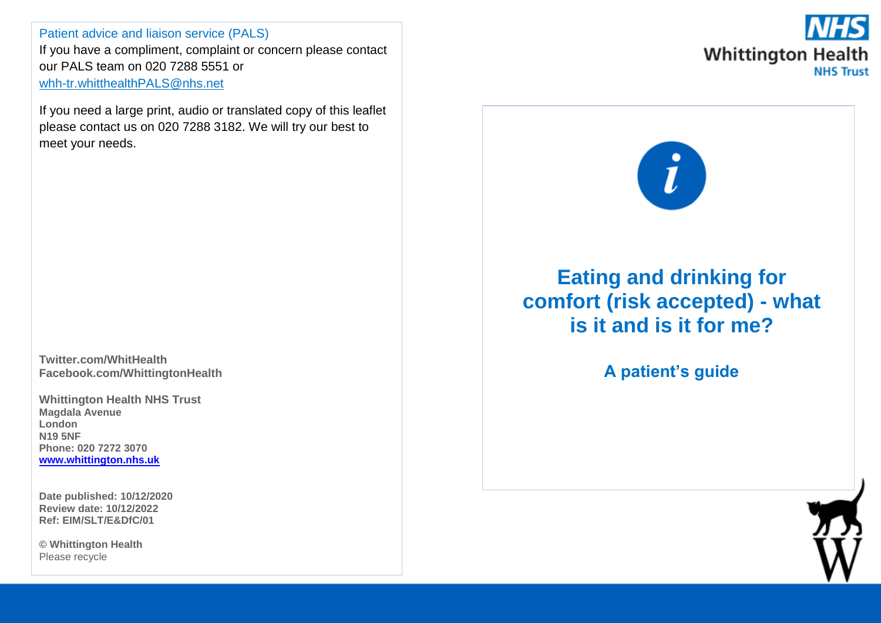Patient advice and liaison service (PALS) If you have a compliment, complaint or concern please contact our PALS team on 020 7288 5551 or [whh-tr.whitthealthPALS@nhs.net](mailto:whh-tr.whitthealthPALS@nhs.net)

If you need a large print, audio or translated copy of this leaflet please contact us on 020 7288 3182. We will try our best to meet your needs.

**Twitter.com/WhitHealth Facebook.com/WhittingtonHealth**

**Whittington Health NHS Trust Magdala Avenue London N19 5NF Phone: 020 7272 3070 [www.whittington.nhs.uk](http://www.whittington.nhs.uk/)**

**Date published: 10/12/2020 Review date: 10/12/2022 Ref: EIM/SLT/E&DfC/01**

**© Whittington Health** Please recycle





## **Eating and drinking for comfort (risk accepted) - what is it and is it for me?**

**A patient's guide**